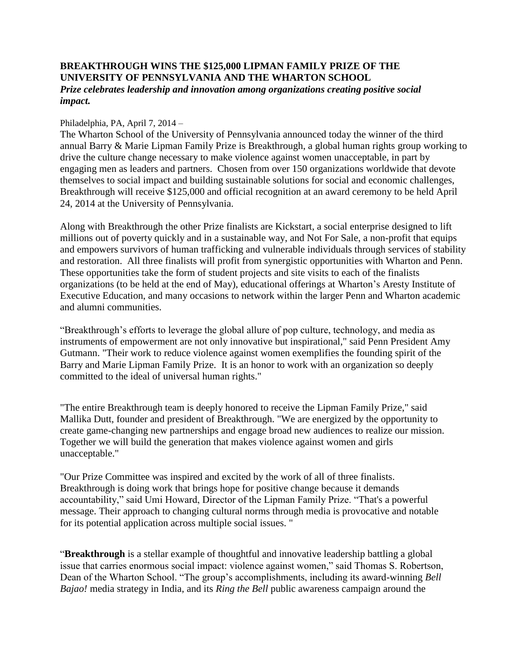## **BREAKTHROUGH WINS THE \$125,000 LIPMAN FAMILY PRIZE OF THE UNIVERSITY OF PENNSYLVANIA AND THE WHARTON SCHOOL**  *Prize celebrates leadership and innovation among organizations creating positive social impact.*

### Philadelphia, PA, April 7, 2014 –

The Wharton School of the University of Pennsylvania announced today the winner of the third annual Barry & Marie Lipman Family Prize is Breakthrough, a global human rights group working to drive the culture change necessary to make violence against women unacceptable, in part by engaging men as leaders and partners. Chosen from over 150 organizations worldwide that devote themselves to social impact and building sustainable solutions for social and economic challenges, Breakthrough will receive \$125,000 and official recognition at an award ceremony to be held April 24, 2014 at the University of Pennsylvania.

Along with Breakthrough the other Prize finalists are Kickstart, a social enterprise designed to lift millions out of poverty quickly and in a sustainable way, and Not For Sale, a non-profit that equips and empowers survivors of human trafficking and vulnerable individuals through services of stability and restoration. All three finalists will profit from synergistic opportunities with Wharton and Penn. These opportunities take the form of student projects and site visits to each of the finalists organizations (to be held at the end of May), educational offerings at Wharton's Aresty Institute of Executive Education, and many occasions to network within the larger Penn and Wharton academic and alumni communities.

"Breakthrough's efforts to leverage the global allure of pop culture, technology, and media as instruments of empowerment are not only innovative but inspirational," said Penn President Amy Gutmann. "Their work to reduce violence against women exemplifies the founding spirit of the Barry and Marie Lipman Family Prize. It is an honor to work with an organization so deeply committed to the ideal of universal human rights."

"The entire Breakthrough team is deeply honored to receive the Lipman Family Prize," said Mallika Dutt, founder and president of Breakthrough. "We are energized by the opportunity to create game-changing new partnerships and engage broad new audiences to realize our mission. Together we will build the generation that makes violence against women and girls unacceptable."

"Our Prize Committee was inspired and excited by the work of all of three finalists. Breakthrough is doing work that brings hope for positive change because it demands accountability," said Umi Howard, Director of the Lipman Family Prize. "That's a powerful message. Their approach to changing cultural norms through media is provocative and notable for its potential application across multiple social issues. "

"**Breakthrough** is a stellar example of thoughtful and innovative leadership battling a global issue that carries enormous social impact: violence against women," said Thomas S. Robertson, Dean of the Wharton School. "The group's accomplishments, including its award-winning *Bell Bajao!* media strategy in India, and its *Ring the Bell* public awareness campaign around the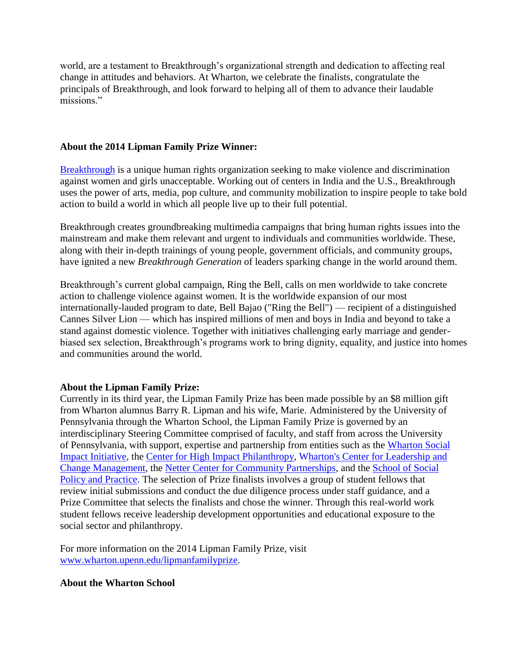world, are a testament to Breakthrough's organizational strength and dedication to affecting real change in attitudes and behaviors. At Wharton, we celebrate the finalists, congratulate the principals of Breakthrough, and look forward to helping all of them to advance their laudable missions."

# **About the 2014 Lipman Family Prize Winner:**

[Breakthrough](http://www.breakthrough.tv/) is a unique human rights organization seeking to make violence and discrimination against women and girls unacceptable. Working out of centers in India and the U.S., Breakthrough uses the power of arts, media, pop culture, and community mobilization to inspire people to take bold action to build a world in which all people live up to their full potential.

Breakthrough creates groundbreaking multimedia campaigns that bring human rights issues into the mainstream and make them relevant and urgent to individuals and communities worldwide. These, along with their in-depth trainings of young people, government officials, and community groups, have ignited a new *Breakthrough Generation* of leaders sparking change in the world around them.

Breakthrough's current global campaign, Ring the Bell, calls on men worldwide to take concrete action to challenge violence against women. It is the worldwide expansion of our most internationally-lauded program to date, Bell Bajao ("Ring the Bell") — recipient of a distinguished Cannes Silver Lion — which has inspired millions of men and boys in India and beyond to take a stand against domestic violence. Together with initiatives challenging early marriage and genderbiased sex selection, Breakthrough's programs work to bring dignity, equality, and justice into homes and communities around the world.

## **About the Lipman Family Prize:**

Currently in its third year, the Lipman Family Prize has been made possible by an \$8 million gift from Wharton alumnus Barry R. Lipman and his wife, Marie. Administered by the University of Pennsylvania through the Wharton School, the Lipman Family Prize is governed by an interdisciplinary Steering Committee comprised of faculty, and staff from across the University of Pennsylvania, with support, expertise and partnership from entities such as the [Wharton Social](http://socialimpact.wharton.upenn.edu/)  [Impact Initiative,](http://socialimpact.wharton.upenn.edu/) the [Center for High Impact Philanthropy,](http://www.impact.upenn.edu/) [Wharton's Center for Leadership and](http://wlp.wharton.upenn.edu/the-leadership-center/index.cfm)  [Change Management,](http://wlp.wharton.upenn.edu/the-leadership-center/index.cfm) the [Netter Center for Community Partnerships,](https://www.nettercenter.upenn.edu/index.php) and the [School of Social](http://www.sp2.upenn.edu/)  [Policy and Practice.](http://www.sp2.upenn.edu/) The selection of Prize finalists involves a group of student fellows that review initial submissions and conduct the due diligence process under staff guidance, and a Prize Committee that selects the finalists and chose the winner. Through this real-world work student fellows receive leadership development opportunities and educational exposure to the social sector and philanthropy.

For more information on the 2014 Lipman Family Prize, visit [www.wharton.upenn.edu/lipmanfamilyprize.](http://www.wharton.upenn.edu/lipmanfamilyprize)

## **About the Wharton School**